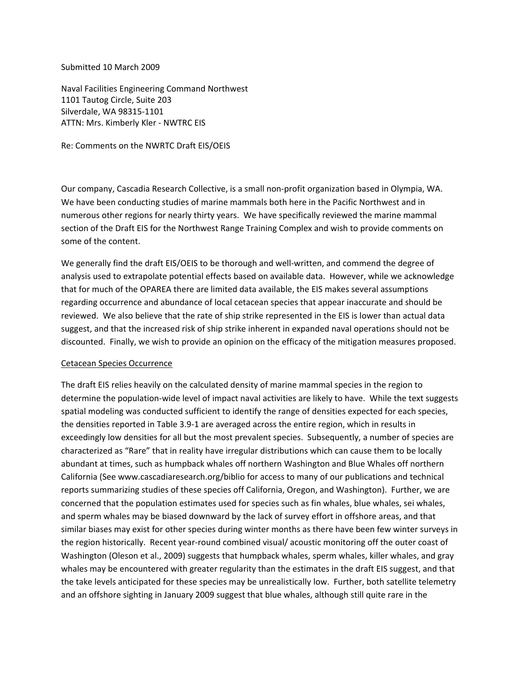### Submitted 10 March 2009

Naval Facilities Engineering Command Northwest 1101 Tautog Circle, Suite 203 Silverdale, WA 98315‐1101 ATTN: Mrs. Kimberly Kler ‐ NWTRC EIS

Re: Comments on the NWRTC Draft EIS/OEIS

Our company, Cascadia Research Collective, is a small non‐profit organization based in Olympia, WA. We have been conducting studies of marine mammals both here in the Pacific Northwest and in numerous other regions for nearly thirty years. We have specifically reviewed the marine mammal section of the Draft EIS for the Northwest Range Training Complex and wish to provide comments on some of the content.

We generally find the draft EIS/OEIS to be thorough and well-written, and commend the degree of analysis used to extrapolate potential effects based on available data. However, while we acknowledge that for much of the OPAREA there are limited data available, the EIS makes several assumptions regarding occurrence and abundance of local cetacean species that appear inaccurate and should be reviewed. We also believe that the rate of ship strike represented in the EIS is lower than actual data suggest, and that the increased risk of ship strike inherent in expanded naval operations should not be discounted. Finally, we wish to provide an opinion on the efficacy of the mitigation measures proposed.

# Cetacean Species Occurrence

The draft EIS relies heavily on the calculated density of marine mammal species in the region to determine the population-wide level of impact naval activities are likely to have. While the text suggests spatial modeling was conducted sufficient to identify the range of densities expected for each species, the densities reported in Table 3.9‐1 are averaged across the entire region, which in results in exceedingly low densities for all but the most prevalent species. Subsequently, a number of species are characterized as "Rare" that in reality have irregular distributions which can cause them to be locally abundant at times, such as humpback whales off northern Washington and Blue Whales off northern California (See www.cascadiaresearch.org/biblio for access to many of our publications and technical reports summarizing studies of these species off California, Oregon, and Washington). Further, we are concerned that the population estimates used for species such as fin whales, blue whales, sei whales, and sperm whales may be biased downward by the lack of survey effort in offshore areas, and that similar biases may exist for other species during winter months as there have been few winter surveys in the region historically. Recent year‐round combined visual/ acoustic monitoring off the outer coast of Washington (Oleson et al., 2009) suggests that humpback whales, sperm whales, killer whales, and gray whales may be encountered with greater regularity than the estimates in the draft EIS suggest, and that the take levels anticipated for these species may be unrealistically low. Further, both satellite telemetry and an offshore sighting in January 2009 suggest that blue whales, although still quite rare in the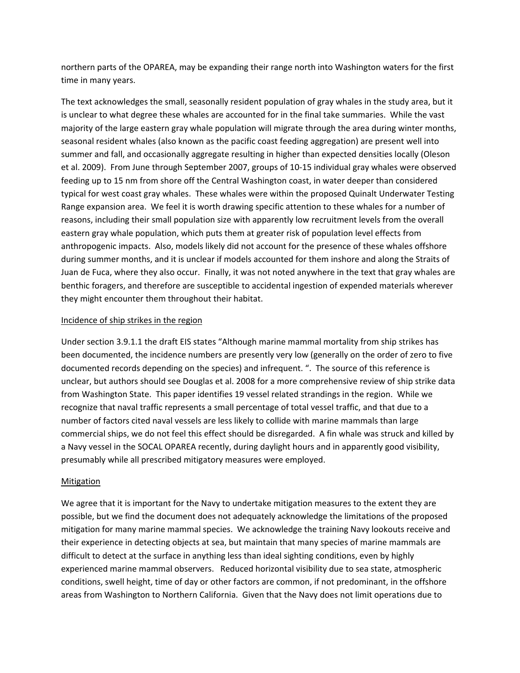northern parts of the OPAREA, may be expanding their range north into Washington waters for the first time in many years.

The text acknowledges the small, seasonally resident population of gray whales in the study area, but it is unclear to what degree these whales are accounted for in the final take summaries. While the vast majority of the large eastern gray whale population will migrate through the area during winter months, seasonal resident whales (also known as the pacific coast feeding aggregation) are present well into summer and fall, and occasionally aggregate resulting in higher than expected densities locally (Oleson et al. 2009). From June through September 2007, groups of 10‐15 individual gray whales were observed feeding up to 15 nm from shore off the Central Washington coast, in water deeper than considered typical for west coast gray whales. These whales were within the proposed Quinalt Underwater Testing Range expansion area. We feel it is worth drawing specific attention to these whales for a number of reasons, including their small population size with apparently low recruitment levels from the overall eastern gray whale population, which puts them at greater risk of population level effects from anthropogenic impacts. Also, models likely did not account for the presence of these whales offshore during summer months, and it is unclear if models accounted for them inshore and along the Straits of Juan de Fuca, where they also occur. Finally, it was not noted anywhere in the text that gray whales are benthic foragers, and therefore are susceptible to accidental ingestion of expended materials wherever they might encounter them throughout their habitat.

# Incidence of ship strikes in the region

Under section 3.9.1.1 the draft EIS states "Although marine mammal mortality from ship strikes has been documented, the incidence numbers are presently very low (generally on the order of zero to five documented records depending on the species) and infrequent. ". The source of this reference is unclear, but authors should see Douglas et al. 2008 for a more comprehensive review of ship strike data from Washington State. This paper identifies 19 vessel related strandings in the region. While we recognize that naval traffic represents a small percentage of total vessel traffic, and that due to a number of factors cited naval vessels are less likely to collide with marine mammals than large commercial ships, we do not feel this effect should be disregarded. A fin whale was struck and killed by a Navy vessel in the SOCAL OPAREA recently, during daylight hours and in apparently good visibility, presumably while all prescribed mitigatory measures were employed.

# Mitigation

We agree that it is important for the Navy to undertake mitigation measures to the extent they are possible, but we find the document does not adequately acknowledge the limitations of the proposed mitigation for many marine mammal species. We acknowledge the training Navy lookouts receive and their experience in detecting objects at sea, but maintain that many species of marine mammals are difficult to detect at the surface in anything less than ideal sighting conditions, even by highly experienced marine mammal observers. Reduced horizontal visibility due to sea state, atmospheric conditions, swell height, time of day or other factors are common, if not predominant, in the offshore areas from Washington to Northern California. Given that the Navy does not limit operations due to